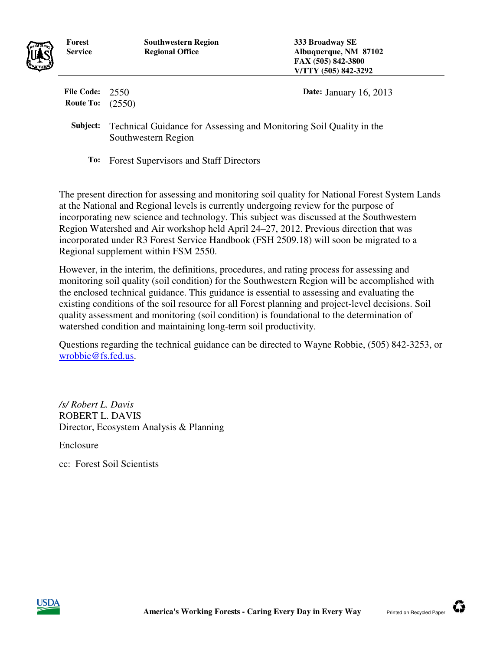**Southwestern Region Regional Office** 

**333 Broadway SE Albuquerque, NM 87102 FAX (505) 842-3800 V/TTY (505) 842-3292**

**Route To:** (2550)

**Forest Service** 

**File Code:** 2550 **Date:** January 16, 2013

**Subject:** Technical Guidance for Assessing and Monitoring Soil Quality in the Southwestern Region

**To:** Forest Supervisors and Staff Directors

The present direction for assessing and monitoring soil quality for National Forest System Lands at the National and Regional levels is currently undergoing review for the purpose of incorporating new science and technology. This subject was discussed at the Southwestern Region Watershed and Air workshop held April 24–27, 2012. Previous direction that was incorporated under R3 Forest Service Handbook (FSH 2509.18) will soon be migrated to a Regional supplement within FSM 2550.

However, in the interim, the definitions, procedures, and rating process for assessing and monitoring soil quality (soil condition) for the Southwestern Region will be accomplished with the enclosed technical guidance. This guidance is essential to assessing and evaluating the existing conditions of the soil resource for all Forest planning and project-level decisions. Soil quality assessment and monitoring (soil condition) is foundational to the determination of watershed condition and maintaining long-term soil productivity.

Questions regarding the technical guidance can be directed to Wayne Robbie, (505) 842-3253, or wrobbie@fs.fed.us.

*/s/ Robert L. Davis*  ROBERT L. DAVIS Director, Ecosystem Analysis & Planning

Enclosure

cc: Forest Soil Scientists



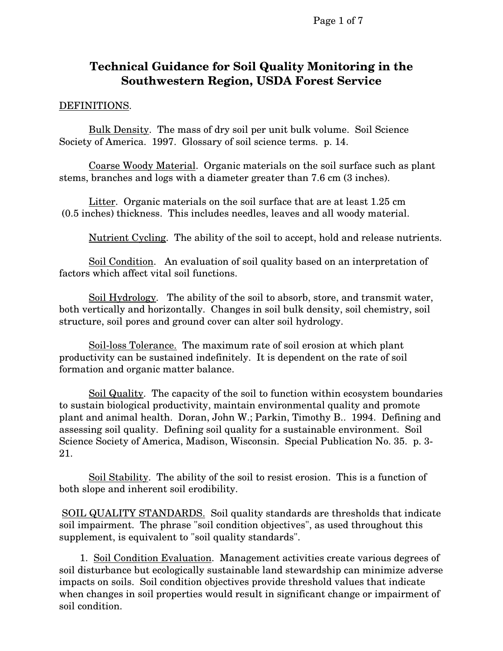Page 1 of 7

# **Technical Guidance for Soil Quality Monitoring in the Southwestern Region, USDA Forest Service**

#### DEFINITIONS.

 Bulk Density. The mass of dry soil per unit bulk volume. Soil Science Society of America. 1997. Glossary of soil science terms. p. 14.

 Coarse Woody Material. Organic materials on the soil surface such as plant stems, branches and logs with a diameter greater than 7.6 cm (3 inches).

 Litter. Organic materials on the soil surface that are at least 1.25 cm (0.5 inches) thickness. This includes needles, leaves and all woody material.

Nutrient Cycling. The ability of the soil to accept, hold and release nutrients.

 Soil Condition. An evaluation of soil quality based on an interpretation of factors which affect vital soil functions.

 Soil Hydrology. The ability of the soil to absorb, store, and transmit water, both vertically and horizontally. Changes in soil bulk density, soil chemistry, soil structure, soil pores and ground cover can alter soil hydrology.

 Soil-loss Tolerance. The maximum rate of soil erosion at which plant productivity can be sustained indefinitely. It is dependent on the rate of soil formation and organic matter balance.

 Soil Quality. The capacity of the soil to function within ecosystem boundaries to sustain biological productivity, maintain environmental quality and promote plant and animal health. Doran, John W.; Parkin, Timothy B.. 1994. Defining and assessing soil quality. Defining soil quality for a sustainable environment. Soil Science Society of America, Madison, Wisconsin. Special Publication No. 35. p. 3- 21.

 Soil Stability. The ability of the soil to resist erosion. This is a function of both slope and inherent soil erodibility.

 SOIL QUALITY STANDARDS. Soil quality standards are thresholds that indicate soil impairment. The phrase "soil condition objectives", as used throughout this supplement, is equivalent to "soil quality standards".

1. Soil Condition Evaluation. Management activities create various degrees of soil disturbance but ecologically sustainable land stewardship can minimize adverse impacts on soils. Soil condition objectives provide threshold values that indicate when changes in soil properties would result in significant change or impairment of soil condition.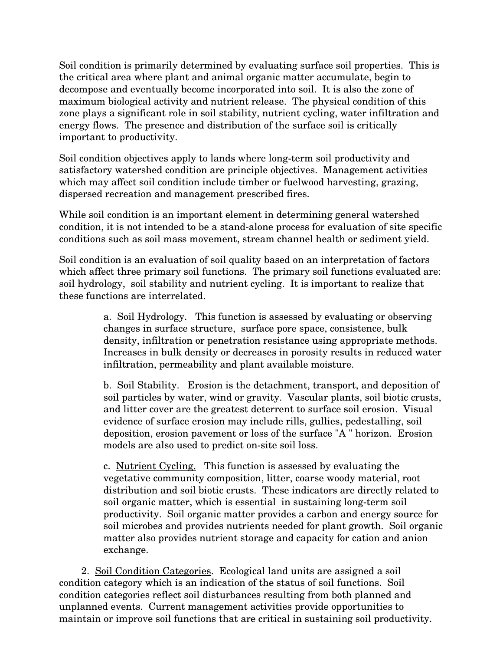Soil condition is primarily determined by evaluating surface soil properties. This is the critical area where plant and animal organic matter accumulate, begin to decompose and eventually become incorporated into soil. It is also the zone of maximum biological activity and nutrient release. The physical condition of this zone plays a significant role in soil stability, nutrient cycling, water infiltration and energy flows. The presence and distribution of the surface soil is critically important to productivity.

Soil condition objectives apply to lands where long-term soil productivity and satisfactory watershed condition are principle objectives. Management activities which may affect soil condition include timber or fuelwood harvesting, grazing, dispersed recreation and management prescribed fires.

While soil condition is an important element in determining general watershed condition, it is not intended to be a stand-alone process for evaluation of site specific conditions such as soil mass movement, stream channel health or sediment yield.

Soil condition is an evaluation of soil quality based on an interpretation of factors which affect three primary soil functions. The primary soil functions evaluated are: soil hydrology, soil stability and nutrient cycling. It is important to realize that these functions are interrelated.

> a. Soil Hydrology. This function is assessed by evaluating or observing changes in surface structure, surface pore space, consistence, bulk density, infiltration or penetration resistance using appropriate methods. Increases in bulk density or decreases in porosity results in reduced water infiltration, permeability and plant available moisture.

> b. Soil Stability. Erosion is the detachment, transport, and deposition of soil particles by water, wind or gravity. Vascular plants, soil biotic crusts, and litter cover are the greatest deterrent to surface soil erosion. Visual evidence of surface erosion may include rills, gullies, pedestalling, soil deposition, erosion pavement or loss of the surface "A " horizon. Erosion models are also used to predict on-site soil loss.

> c. Nutrient Cycling. This function is assessed by evaluating the vegetative community composition, litter, coarse woody material, root distribution and soil biotic crusts. These indicators are directly related to soil organic matter, which is essential in sustaining long-term soil productivity. Soil organic matter provides a carbon and energy source for soil microbes and provides nutrients needed for plant growth. Soil organic matter also provides nutrient storage and capacity for cation and anion exchange.

2. Soil Condition Categories. Ecological land units are assigned a soil condition category which is an indication of the status of soil functions. Soil condition categories reflect soil disturbances resulting from both planned and unplanned events. Current management activities provide opportunities to maintain or improve soil functions that are critical in sustaining soil productivity.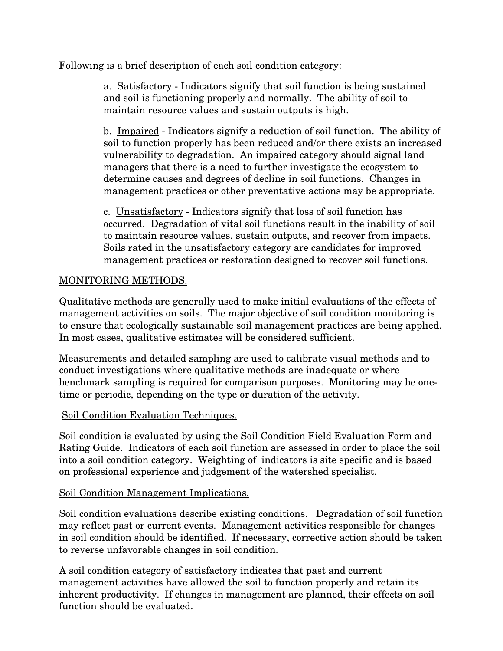Following is a brief description of each soil condition category:

a. Satisfactory - Indicators signify that soil function is being sustained and soil is functioning properly and normally. The ability of soil to maintain resource values and sustain outputs is high.

b. Impaired - Indicators signify a reduction of soil function. The ability of soil to function properly has been reduced and/or there exists an increased vulnerability to degradation. An impaired category should signal land managers that there is a need to further investigate the ecosystem to determine causes and degrees of decline in soil functions. Changes in management practices or other preventative actions may be appropriate.

c. Unsatisfactory - Indicators signify that loss of soil function has occurred. Degradation of vital soil functions result in the inability of soil to maintain resource values, sustain outputs, and recover from impacts. Soils rated in the unsatisfactory category are candidates for improved management practices or restoration designed to recover soil functions.

## MONITORING METHODS.

Qualitative methods are generally used to make initial evaluations of the effects of management activities on soils. The major objective of soil condition monitoring is to ensure that ecologically sustainable soil management practices are being applied. In most cases, qualitative estimates will be considered sufficient.

Measurements and detailed sampling are used to calibrate visual methods and to conduct investigations where qualitative methods are inadequate or where benchmark sampling is required for comparison purposes. Monitoring may be onetime or periodic, depending on the type or duration of the activity.

## Soil Condition Evaluation Techniques.

Soil condition is evaluated by using the Soil Condition Field Evaluation Form and Rating Guide. Indicators of each soil function are assessed in order to place the soil into a soil condition category. Weighting of indicators is site specific and is based on professional experience and judgement of the watershed specialist.

#### Soil Condition Management Implications.

Soil condition evaluations describe existing conditions. Degradation of soil function may reflect past or current events. Management activities responsible for changes in soil condition should be identified. If necessary, corrective action should be taken to reverse unfavorable changes in soil condition.

A soil condition category of satisfactory indicates that past and current management activities have allowed the soil to function properly and retain its inherent productivity. If changes in management are planned, their effects on soil function should be evaluated.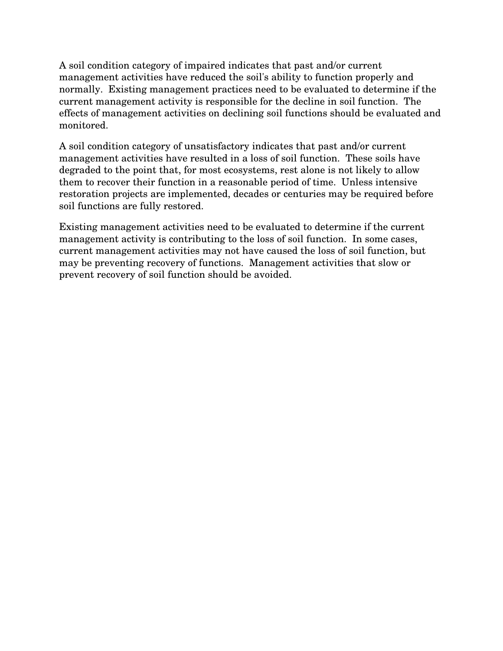A soil condition category of impaired indicates that past and/or current management activities have reduced the soil's ability to function properly and normally. Existing management practices need to be evaluated to determine if the current management activity is responsible for the decline in soil function. The effects of management activities on declining soil functions should be evaluated and monitored.

A soil condition category of unsatisfactory indicates that past and/or current management activities have resulted in a loss of soil function. These soils have degraded to the point that, for most ecosystems, rest alone is not likely to allow them to recover their function in a reasonable period of time. Unless intensive restoration projects are implemented, decades or centuries may be required before soil functions are fully restored.

Existing management activities need to be evaluated to determine if the current management activity is contributing to the loss of soil function. In some cases, current management activities may not have caused the loss of soil function, but may be preventing recovery of functions. Management activities that slow or prevent recovery of soil function should be avoided.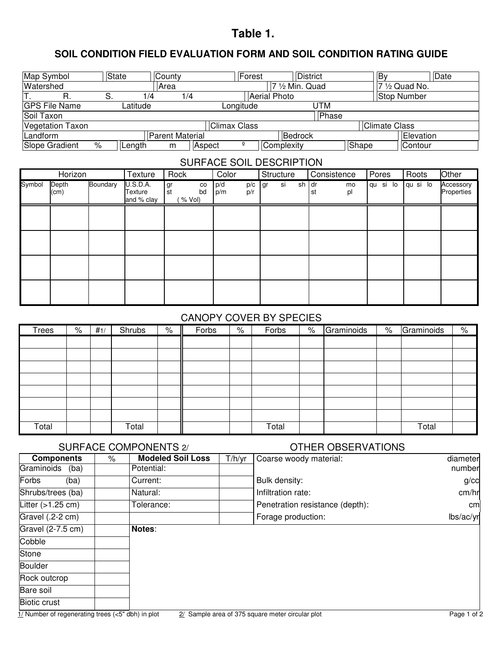# **Table 1.**

# **SOIL CONDITION FIELD EVALUATION FORM AND SOIL CONDITION RATING GUIDE**

| Map Symbol                               |       | State      |                 |                                  | County                                                                   |                   |                                                  | Forest<br><b>District</b>                      |                                  |                                 |  | <b>By</b><br>Date |                           |                                      |                      |            |             |
|------------------------------------------|-------|------------|-----------------|----------------------------------|--------------------------------------------------------------------------|-------------------|--------------------------------------------------|------------------------------------------------|----------------------------------|---------------------------------|--|-------------------|---------------------------|--------------------------------------|----------------------|------------|-------------|
| Watershed<br>R.                          |       |            |                 |                                  |                                                                          | Area              |                                                  |                                                |                                  | 7 1/2 Min. Quad                 |  |                   |                           | 7 1/2 Quad No.<br><b>Stop Number</b> |                      |            |             |
| $\overline{S}$ .<br><b>GPS File Name</b> |       |            |                 |                                  | 1/4<br>1/4<br><b>Aerial Photo</b><br><b>UTM</b><br>Latitude<br>Longitude |                   |                                                  |                                                |                                  |                                 |  |                   |                           |                                      |                      |            |             |
| Soil Taxon                               |       |            |                 |                                  |                                                                          |                   |                                                  |                                                |                                  |                                 |  |                   | Phase                     |                                      |                      |            |             |
| <b>Vegetation Taxon</b>                  |       |            |                 |                                  |                                                                          |                   |                                                  |                                                | Climax Class                     |                                 |  |                   |                           |                                      | <b>Climate Class</b> |            |             |
| Landform                                 |       |            |                 | <b>Parent Material</b>           |                                                                          |                   |                                                  | Bedrock                                        |                                  |                                 |  |                   |                           | Elevation                            |                      |            |             |
| <b>Slope Gradient</b><br>$\%$            |       |            |                 | Aspect<br>Length<br>m            |                                                                          |                   |                                                  | $\overline{\mathbf{0}}$<br>Shape<br>Complexity |                                  |                                 |  |                   |                           | Contour                              |                      |            |             |
|                                          |       |            |                 |                                  |                                                                          |                   | SURFACE SOIL DESCRIPTION                         |                                                |                                  |                                 |  |                   |                           |                                      |                      |            |             |
| Horizon                                  |       |            |                 |                                  | Texture                                                                  |                   | Rock                                             |                                                | Color                            | Structure                       |  | Consistence       |                           | Pores                                |                      | Roots      | Other       |
| Symbol                                   | Depth |            | <b>Boundary</b> |                                  | <b>U.S.D.A.</b>                                                          | gr<br>$_{\rm CO}$ |                                                  | p/d                                            | p/c                              | gr<br>si<br>sh                  |  | dr<br>mo          |                           | qu si lo                             |                      | qu si lo   | Accessory   |
|                                          | (cm)  |            |                 |                                  | <b>Texture</b><br>and % clay                                             | st                | bd<br>p/m<br>( % Vol)                            |                                                | p/r                              |                                 |  | st                | pl                        |                                      |                      |            | Properties  |
|                                          |       |            |                 |                                  |                                                                          |                   |                                                  |                                                |                                  |                                 |  |                   |                           |                                      |                      |            |             |
|                                          |       |            |                 |                                  |                                                                          |                   |                                                  |                                                |                                  |                                 |  |                   |                           |                                      |                      |            |             |
|                                          |       |            |                 |                                  |                                                                          |                   |                                                  |                                                |                                  |                                 |  |                   |                           |                                      |                      |            |             |
|                                          |       |            |                 |                                  |                                                                          |                   |                                                  |                                                |                                  |                                 |  |                   |                           |                                      |                      |            |             |
|                                          |       |            |                 |                                  |                                                                          |                   |                                                  |                                                |                                  |                                 |  |                   |                           |                                      |                      |            |             |
|                                          |       |            |                 |                                  |                                                                          |                   |                                                  |                                                |                                  |                                 |  |                   |                           |                                      |                      |            |             |
|                                          |       |            |                 |                                  |                                                                          |                   |                                                  |                                                |                                  |                                 |  |                   |                           |                                      |                      |            |             |
|                                          |       |            |                 |                                  |                                                                          |                   |                                                  |                                                |                                  |                                 |  |                   |                           |                                      |                      |            |             |
|                                          |       |            |                 |                                  |                                                                          |                   |                                                  |                                                |                                  |                                 |  |                   |                           |                                      |                      |            |             |
|                                          |       |            |                 |                                  |                                                                          |                   |                                                  |                                                |                                  |                                 |  |                   |                           |                                      |                      |            |             |
|                                          |       |            |                 |                                  |                                                                          |                   | <b>CANOPY COVER BY SPECIES</b>                   |                                                |                                  |                                 |  |                   |                           |                                      |                      |            |             |
| <b>Trees</b>                             |       | $\%$       | #1/             | Shrubs                           |                                                                          | Forbs<br>$\%$     |                                                  |                                                | $\%$                             | Forbs                           |  | $\%$              | Graminoids                |                                      | $\%$<br>Graminoids   |            | $\%$        |
|                                          |       |            |                 |                                  |                                                                          |                   |                                                  |                                                |                                  |                                 |  |                   |                           |                                      |                      |            |             |
|                                          |       |            |                 |                                  |                                                                          |                   |                                                  |                                                |                                  |                                 |  |                   |                           |                                      |                      |            |             |
|                                          |       |            |                 |                                  |                                                                          |                   |                                                  |                                                |                                  |                                 |  |                   |                           |                                      |                      |            |             |
|                                          |       |            |                 |                                  |                                                                          |                   |                                                  |                                                |                                  |                                 |  |                   |                           |                                      |                      |            |             |
|                                          |       |            |                 |                                  |                                                                          |                   |                                                  |                                                |                                  |                                 |  |                   |                           |                                      |                      |            |             |
|                                          |       |            |                 |                                  |                                                                          |                   |                                                  |                                                |                                  |                                 |  |                   |                           |                                      |                      |            |             |
|                                          |       |            |                 |                                  |                                                                          |                   |                                                  |                                                |                                  |                                 |  |                   |                           |                                      |                      |            |             |
| Total                                    |       |            |                 |                                  | Total                                                                    |                   |                                                  |                                                |                                  | Total                           |  |                   |                           |                                      |                      | Total      |             |
|                                          |       |            |                 |                                  |                                                                          |                   |                                                  |                                                |                                  |                                 |  |                   |                           |                                      |                      |            |             |
|                                          |       |            |                 |                                  | <b>SURFACE COMPONENTS 2/</b>                                             |                   |                                                  |                                                |                                  |                                 |  |                   | <b>OTHER OBSERVATIONS</b> |                                      |                      |            |             |
| <b>Components</b>                        |       |            |                 | $\%$<br><b>Modeled Soil Loss</b> |                                                                          |                   |                                                  |                                                | T/h/yr<br>Coarse woody material: |                                 |  |                   |                           |                                      | diameter             |            |             |
| Graminoids<br>(ba)                       |       | Potential: |                 |                                  |                                                                          |                   |                                                  |                                                |                                  |                                 |  |                   |                           | number                               |                      |            |             |
| Forbs<br>(ba)                            |       | Current:   |                 |                                  |                                                                          |                   |                                                  |                                                | Bulk density:                    |                                 |  |                   |                           |                                      |                      | $g$ / $cc$ |             |
| Shrubs/trees (ba)                        |       |            | Natural:        |                                  |                                                                          |                   |                                                  |                                                |                                  | Infiltration rate:              |  |                   |                           |                                      |                      |            | cm/hr       |
| Litter $(>1.25$ cm)                      |       |            | Tolerance:      |                                  |                                                                          |                   |                                                  |                                                |                                  | Penetration resistance (depth): |  |                   |                           |                                      |                      |            | cm          |
| Gravel (.2-2 cm)                         |       |            |                 |                                  |                                                                          |                   |                                                  |                                                |                                  | Forage production:              |  |                   |                           |                                      |                      |            | lbs/ac/yr   |
| Gravel (2-7.5 cm)                        |       |            |                 |                                  | Notes:                                                                   |                   |                                                  |                                                |                                  |                                 |  |                   |                           |                                      |                      |            |             |
| Cobble                                   |       |            |                 |                                  |                                                                          |                   |                                                  |                                                |                                  |                                 |  |                   |                           |                                      |                      |            |             |
| Stone                                    |       |            |                 |                                  |                                                                          |                   |                                                  |                                                |                                  |                                 |  |                   |                           |                                      |                      |            |             |
| <b>Boulder</b>                           |       |            |                 |                                  |                                                                          |                   |                                                  |                                                |                                  |                                 |  |                   |                           |                                      |                      |            |             |
|                                          |       |            |                 |                                  |                                                                          |                   |                                                  |                                                |                                  |                                 |  |                   |                           |                                      |                      |            |             |
| Rock outcrop                             |       |            |                 |                                  |                                                                          |                   |                                                  |                                                |                                  |                                 |  |                   |                           |                                      |                      |            |             |
| Bare soil                                |       |            |                 |                                  |                                                                          |                   |                                                  |                                                |                                  |                                 |  |                   |                           |                                      |                      |            |             |
| <b>Biotic crust</b>                      |       |            |                 |                                  |                                                                          |                   |                                                  |                                                |                                  |                                 |  |                   |                           |                                      |                      |            |             |
|                                          |       |            |                 |                                  | $1/$ Number of regenerating trees (<5" dbh) in plot                      |                   | 2/ Sample area of 375 square meter circular plot |                                                |                                  |                                 |  |                   |                           |                                      |                      |            | Page 1 of 2 |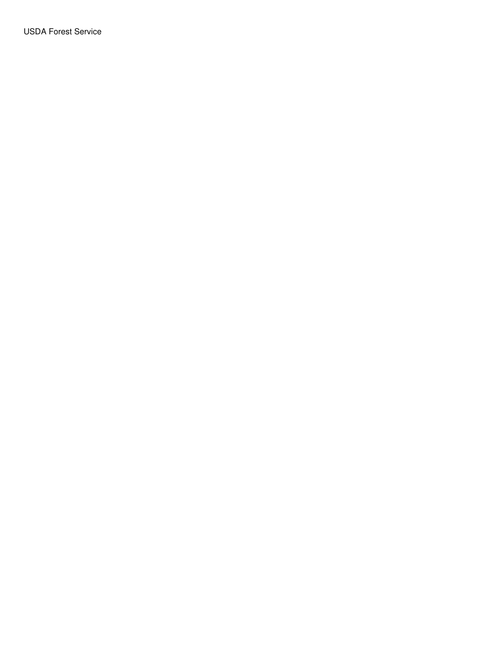USDA Forest Service